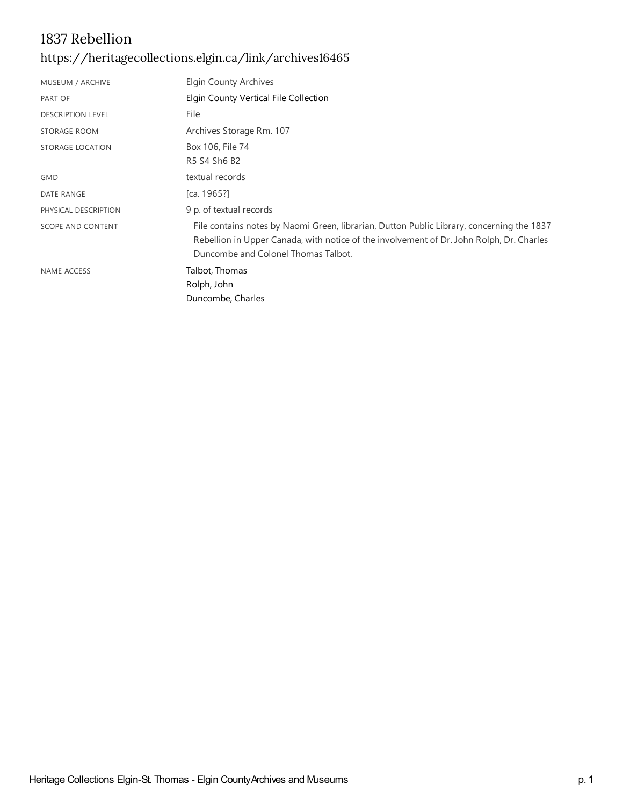## 1837 Rebellion <https://heritagecollections.elgin.ca/link/archives16465>

| MUSEUM / ARCHIVE         | Elgin County Archives                                                                                                                                                                                                        |
|--------------------------|------------------------------------------------------------------------------------------------------------------------------------------------------------------------------------------------------------------------------|
| PART OF                  | Elgin County Vertical File Collection                                                                                                                                                                                        |
| <b>DESCRIPTION LEVEL</b> | File                                                                                                                                                                                                                         |
| STORAGE ROOM             | Archives Storage Rm. 107                                                                                                                                                                                                     |
| STORAGE LOCATION         | Box 106, File 74                                                                                                                                                                                                             |
|                          | R5 S4 Sh6 B2                                                                                                                                                                                                                 |
| <b>GMD</b>               | textual records                                                                                                                                                                                                              |
| DATE RANGE               | [ca. $1965$ ?]                                                                                                                                                                                                               |
| PHYSICAL DESCRIPTION     | 9 p. of textual records                                                                                                                                                                                                      |
| <b>SCOPE AND CONTENT</b> | File contains notes by Naomi Green, librarian, Dutton Public Library, concerning the 1837<br>Rebellion in Upper Canada, with notice of the involvement of Dr. John Rolph, Dr. Charles<br>Duncombe and Colonel Thomas Talbot. |
| NAME ACCESS              | Talbot, Thomas<br>Rolph, John<br>Duncombe, Charles                                                                                                                                                                           |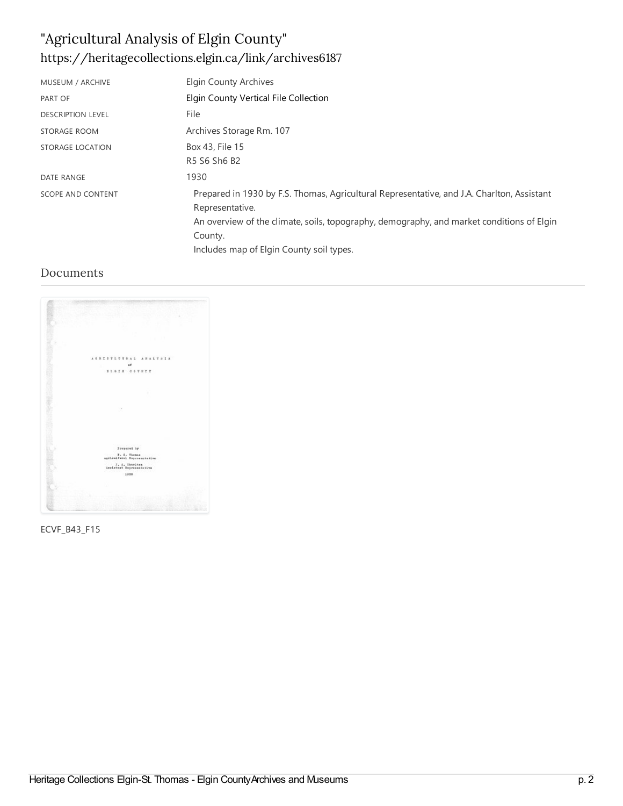# "Agricultural Analysis of Elgin County" <https://heritagecollections.elgin.ca/link/archives6187>

| MUSEUM / ARCHIVE         | <b>Elgin County Archives</b>                                                                                                                                                                                                                                      |
|--------------------------|-------------------------------------------------------------------------------------------------------------------------------------------------------------------------------------------------------------------------------------------------------------------|
| PART OF                  | Elgin County Vertical File Collection                                                                                                                                                                                                                             |
| <b>DESCRIPTION LEVEL</b> | File                                                                                                                                                                                                                                                              |
| <b>STORAGE ROOM</b>      | Archives Storage Rm. 107                                                                                                                                                                                                                                          |
| <b>STORAGE LOCATION</b>  | Box 43, File 15<br>R5 S6 Sh6 B2                                                                                                                                                                                                                                   |
| <b>DATE RANGE</b>        | 1930                                                                                                                                                                                                                                                              |
| <b>SCOPE AND CONTENT</b> | Prepared in 1930 by F.S. Thomas, Agricultural Representative, and J.A. Charlton, Assistant<br>Representative.<br>An overview of the climate, soils, topography, demography, and market conditions of Elgin<br>County.<br>Includes map of Elgin County soil types. |

#### Documents



ECVF\_B43\_F15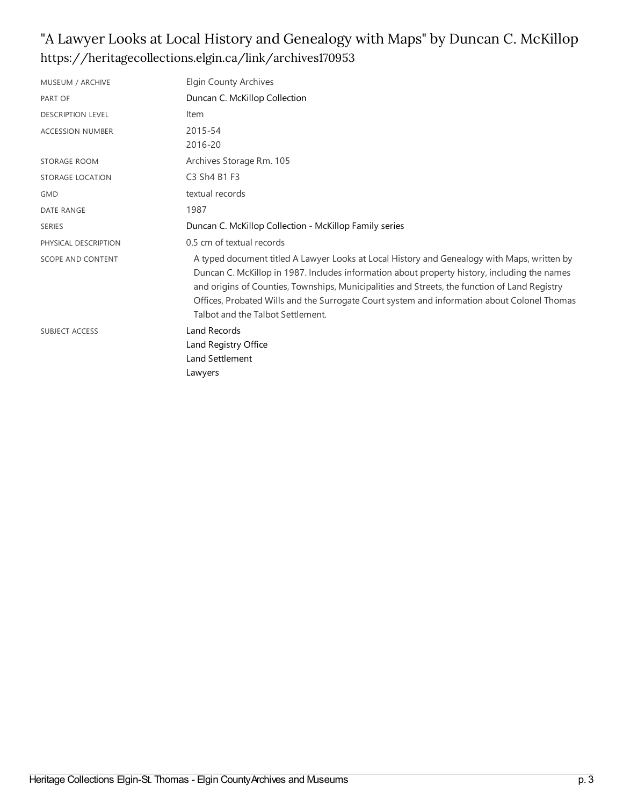#### "A Lawyer Looks at Local History and Genealogy with Maps" by Duncan C. McKillop <https://heritagecollections.elgin.ca/link/archives170953>

| MUSEUM / ARCHIVE         | Elgin County Archives                                                                                                                                                                                                                                                                                                                                                                                                            |
|--------------------------|----------------------------------------------------------------------------------------------------------------------------------------------------------------------------------------------------------------------------------------------------------------------------------------------------------------------------------------------------------------------------------------------------------------------------------|
| PART OF                  | Duncan C. McKillop Collection                                                                                                                                                                                                                                                                                                                                                                                                    |
| <b>DESCRIPTION LEVEL</b> | Item                                                                                                                                                                                                                                                                                                                                                                                                                             |
| <b>ACCESSION NUMBER</b>  | 2015-54<br>2016-20                                                                                                                                                                                                                                                                                                                                                                                                               |
| STORAGE ROOM             | Archives Storage Rm. 105                                                                                                                                                                                                                                                                                                                                                                                                         |
| <b>STORAGE LOCATION</b>  | C3 Sh4 B1 F3                                                                                                                                                                                                                                                                                                                                                                                                                     |
| <b>GMD</b>               | textual records                                                                                                                                                                                                                                                                                                                                                                                                                  |
| <b>DATE RANGE</b>        | 1987                                                                                                                                                                                                                                                                                                                                                                                                                             |
| <b>SERIES</b>            | Duncan C. McKillop Collection - McKillop Family series                                                                                                                                                                                                                                                                                                                                                                           |
| PHYSICAL DESCRIPTION     | 0.5 cm of textual records                                                                                                                                                                                                                                                                                                                                                                                                        |
| SCOPE AND CONTENT        | A typed document titled A Lawyer Looks at Local History and Genealogy with Maps, written by<br>Duncan C. McKillop in 1987. Includes information about property history, including the names<br>and origins of Counties, Townships, Municipalities and Streets, the function of Land Registry<br>Offices, Probated Wills and the Surrogate Court system and information about Colonel Thomas<br>Talbot and the Talbot Settlement. |
| <b>SUBJECT ACCESS</b>    | <b>Land Records</b><br>Land Registry Office<br>Land Settlement<br>Lawyers                                                                                                                                                                                                                                                                                                                                                        |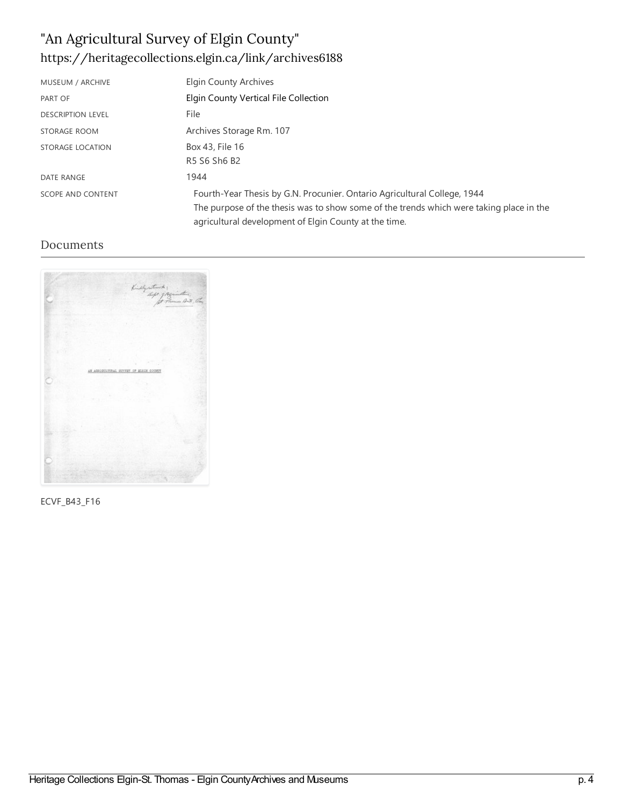# "An Agricultural Survey of Elgin County" <https://heritagecollections.elgin.ca/link/archives6188>

| MUSEUM / ARCHIVE         | Elgin County Archives                                                                                                                                                                                                        |
|--------------------------|------------------------------------------------------------------------------------------------------------------------------------------------------------------------------------------------------------------------------|
| PART OF                  | Elgin County Vertical File Collection                                                                                                                                                                                        |
| <b>DESCRIPTION LEVEL</b> | File                                                                                                                                                                                                                         |
| <b>STORAGE ROOM</b>      | Archives Storage Rm. 107                                                                                                                                                                                                     |
| STORAGE LOCATION         | Box 43, File 16                                                                                                                                                                                                              |
|                          | R5 S6 Sh6 B2                                                                                                                                                                                                                 |
| DATE RANGE               | 1944                                                                                                                                                                                                                         |
| <b>SCOPE AND CONTENT</b> | Fourth-Year Thesis by G.N. Procunier. Ontario Agricultural College, 1944<br>The purpose of the thesis was to show some of the trends which were taking place in the<br>agricultural development of Elgin County at the time. |

#### Documents

|     | Killystund 1<br>hope pagination , Con  |  |
|-----|----------------------------------------|--|
|     |                                        |  |
|     |                                        |  |
|     |                                        |  |
|     |                                        |  |
|     |                                        |  |
|     |                                        |  |
|     |                                        |  |
|     |                                        |  |
|     |                                        |  |
|     |                                        |  |
|     |                                        |  |
|     |                                        |  |
|     |                                        |  |
|     |                                        |  |
|     |                                        |  |
|     |                                        |  |
|     | AN AGRICULTURAL SURVEY OF WLODE COUNTY |  |
|     |                                        |  |
|     |                                        |  |
|     |                                        |  |
|     |                                        |  |
|     |                                        |  |
|     |                                        |  |
|     |                                        |  |
|     |                                        |  |
|     |                                        |  |
|     |                                        |  |
|     |                                        |  |
|     |                                        |  |
|     |                                        |  |
|     |                                        |  |
|     |                                        |  |
|     |                                        |  |
|     |                                        |  |
|     |                                        |  |
|     |                                        |  |
|     |                                        |  |
| --- |                                        |  |

ECVF\_B43\_F16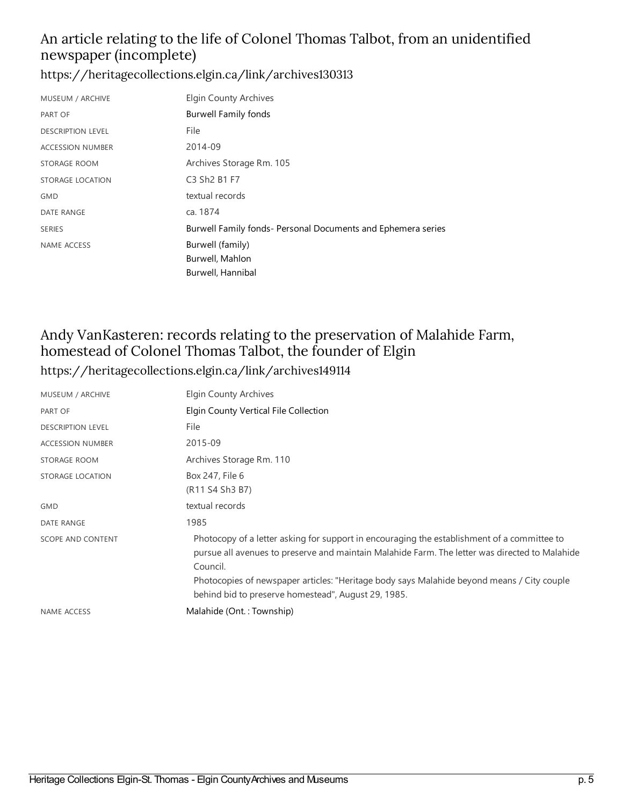#### An article relating to the life of Colonel Thomas Talbot, from an unidentified newspaper (incomplete)

<https://heritagecollections.elgin.ca/link/archives130313>

| MUSEUM / ARCHIVE         | <b>Elgin County Archives</b>                                 |
|--------------------------|--------------------------------------------------------------|
| PART OF                  | <b>Burwell Family fonds</b>                                  |
| <b>DESCRIPTION LEVEL</b> | File                                                         |
| <b>ACCESSION NUMBER</b>  | 2014-09                                                      |
| STORAGE ROOM             | Archives Storage Rm. 105                                     |
| STORAGE LOCATION         | C3 Sh <sub>2</sub> B <sub>1</sub> F <sub>7</sub>             |
| <b>GMD</b>               | textual records                                              |
| DATE RANGE               | ca. 1874                                                     |
| <b>SERIES</b>            | Burwell Family fonds- Personal Documents and Ephemera series |
| <b>NAME ACCESS</b>       | Burwell (family)                                             |
|                          | Burwell, Mahlon                                              |
|                          | Burwell, Hannibal                                            |

#### Andy VanKasteren: records relating to the preservation of Malahide Farm, homestead of Colonel Thomas Talbot, the founder of Elgin <https://heritagecollections.elgin.ca/link/archives149114>

| MUSEUM / ARCHIVE         | Elgin County Archives                                                                                                                                                                                                                                                                                                                                          |
|--------------------------|----------------------------------------------------------------------------------------------------------------------------------------------------------------------------------------------------------------------------------------------------------------------------------------------------------------------------------------------------------------|
| PART OF                  | Elgin County Vertical File Collection                                                                                                                                                                                                                                                                                                                          |
| <b>DESCRIPTION LEVEL</b> | File                                                                                                                                                                                                                                                                                                                                                           |
| <b>ACCESSION NUMBER</b>  | 2015-09                                                                                                                                                                                                                                                                                                                                                        |
| STORAGE ROOM             | Archives Storage Rm. 110                                                                                                                                                                                                                                                                                                                                       |
| STORAGE LOCATION         | Box 247, File 6<br>(R11 S4 Sh3 B7)                                                                                                                                                                                                                                                                                                                             |
| <b>GMD</b>               | textual records                                                                                                                                                                                                                                                                                                                                                |
| <b>DATE RANGE</b>        | 1985                                                                                                                                                                                                                                                                                                                                                           |
| SCOPE AND CONTENT        | Photocopy of a letter asking for support in encouraging the establishment of a committee to<br>pursue all avenues to preserve and maintain Malahide Farm. The letter was directed to Malahide<br>Council.<br>Photocopies of newspaper articles: "Heritage body says Malahide beyond means / City couple<br>behind bid to preserve homestead", August 29, 1985. |
| <b>NAME ACCESS</b>       | Malahide (Ont.: Township)                                                                                                                                                                                                                                                                                                                                      |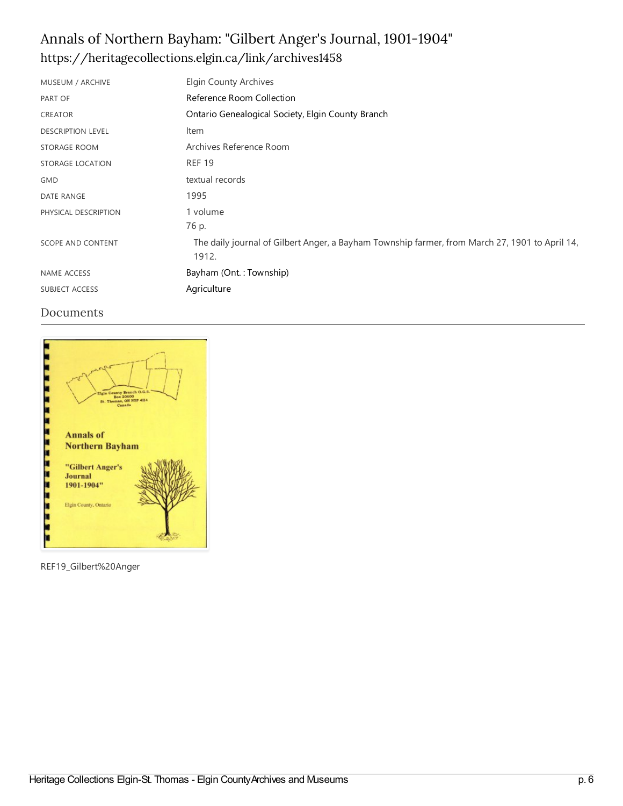# Annals of Northern Bayham: "Gilbert Anger's Journal, 1901-1904" <https://heritagecollections.elgin.ca/link/archives1458>

| MUSEUM / ARCHIVE         | <b>Elgin County Archives</b>                                                                            |
|--------------------------|---------------------------------------------------------------------------------------------------------|
| PART OF                  | Reference Room Collection                                                                               |
| CREATOR                  | Ontario Genealogical Society, Elgin County Branch                                                       |
| <b>DESCRIPTION LEVEL</b> | Item                                                                                                    |
| STORAGE ROOM             | Archives Reference Room                                                                                 |
| STORAGE LOCATION         | <b>REF 19</b>                                                                                           |
| <b>GMD</b>               | textual records                                                                                         |
| <b>DATE RANGE</b>        | 1995                                                                                                    |
| PHYSICAL DESCRIPTION     | 1 volume                                                                                                |
|                          | 76 p.                                                                                                   |
| SCOPE AND CONTENT        | The daily journal of Gilbert Anger, a Bayham Township farmer, from March 27, 1901 to April 14,<br>1912. |
| NAME ACCESS              | Bayham (Ont.: Township)                                                                                 |
| SUBJECT ACCESS           | Agriculture                                                                                             |

#### Documents



REF19\_Gilbert%20Anger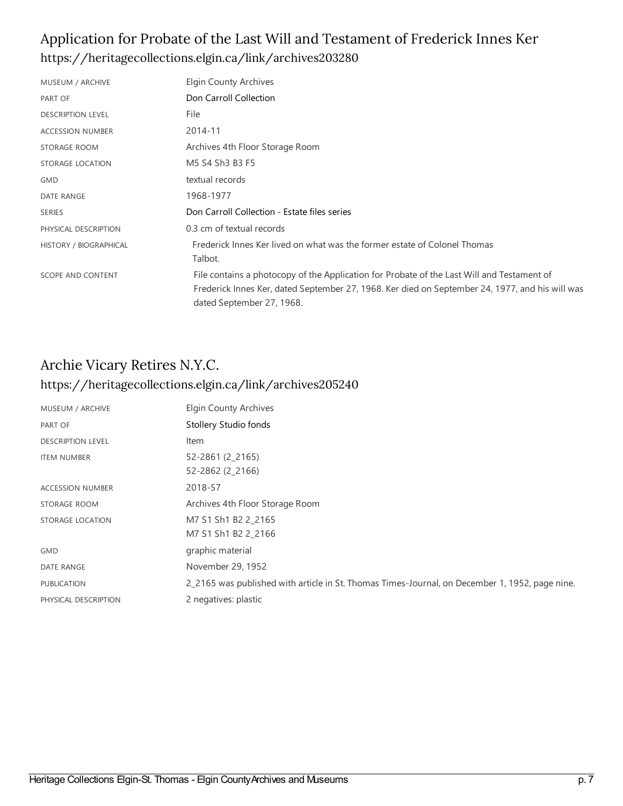#### Application for Probate of the Last Will and Testament of Frederick Innes Ker <https://heritagecollections.elgin.ca/link/archives203280>

| MUSEUM / ARCHIVE         | <b>Elgin County Archives</b>                                                                                                                                                                                               |
|--------------------------|----------------------------------------------------------------------------------------------------------------------------------------------------------------------------------------------------------------------------|
| PART OF                  | Don Carroll Collection                                                                                                                                                                                                     |
| <b>DESCRIPTION LEVEL</b> | File                                                                                                                                                                                                                       |
| <b>ACCESSION NUMBER</b>  | 2014-11                                                                                                                                                                                                                    |
| STORAGE ROOM             | Archives 4th Floor Storage Room                                                                                                                                                                                            |
| STORAGE LOCATION         | M5 S4 Sh3 B3 F5                                                                                                                                                                                                            |
| <b>GMD</b>               | textual records                                                                                                                                                                                                            |
| <b>DATE RANGE</b>        | 1968-1977                                                                                                                                                                                                                  |
| <b>SERIES</b>            | Don Carroll Collection - Estate files series                                                                                                                                                                               |
| PHYSICAL DESCRIPTION     | 0.3 cm of textual records                                                                                                                                                                                                  |
| HISTORY / BIOGRAPHICAL   | Frederick Innes Ker lived on what was the former estate of Colonel Thomas<br>Talbot.                                                                                                                                       |
| SCOPE AND CONTENT        | File contains a photocopy of the Application for Probate of the Last Will and Testament of<br>Frederick Innes Ker, dated September 27, 1968. Ker died on September 24, 1977, and his will was<br>dated September 27, 1968. |

#### Archie Vicary Retires N.Y.C. <https://heritagecollections.elgin.ca/link/archives205240>

| MUSEUM / ARCHIVE         | Elgin County Archives                                                                          |
|--------------------------|------------------------------------------------------------------------------------------------|
| PART OF                  | Stollery Studio fonds                                                                          |
| <b>DESCRIPTION LEVEL</b> | Item                                                                                           |
| <b>ITEM NUMBER</b>       | 52-2861 (2 2165)<br>52-2862 (2_2166)                                                           |
| <b>ACCESSION NUMBER</b>  | 2018-57                                                                                        |
| STORAGE ROOM             | Archives 4th Floor Storage Room                                                                |
| STORAGE LOCATION         | M7 S1 Sh1 B2 2 2165<br>M7 S1 Sh1 B2 2 2166                                                     |
| <b>GMD</b>               | graphic material                                                                               |
| DATE RANGE               | November 29, 1952                                                                              |
| <b>PUBLICATION</b>       | 2_2165 was published with article in St. Thomas Times-Journal, on December 1, 1952, page nine. |
| PHYSICAL DESCRIPTION     | 2 negatives: plastic                                                                           |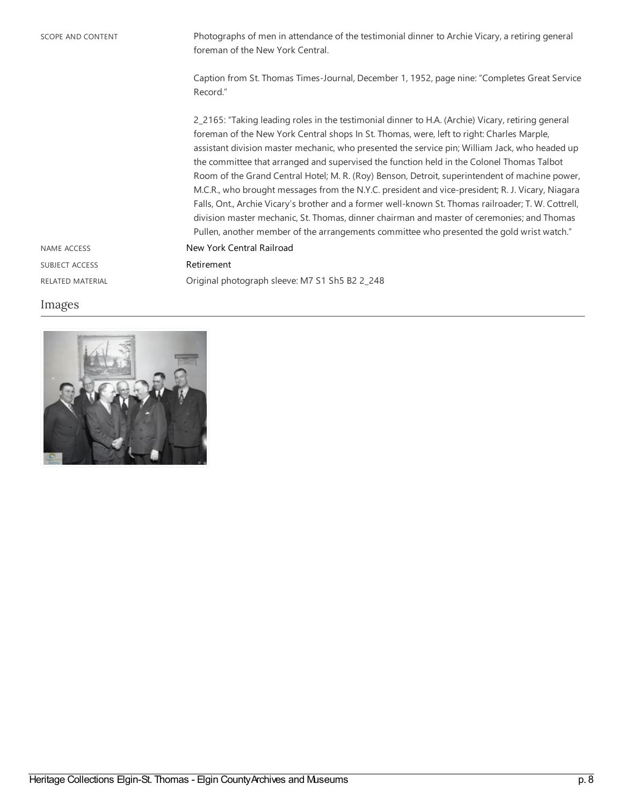SCOPE AND CONTENT Photographs of men in attendance of the testimonial dinner to Archie Vicary, a retiring general foreman of the New York Central.

> Caption from St. Thomas Times-Journal, December 1, 1952, page nine: "Completes Great Service Record."

2\_2165: "Taking leading roles in the testimonial dinner to H.A. (Archie) Vicary, retiring general foreman of the New York Central shops In St. Thomas, were, left to right: Charles Marple, assistant division master mechanic, who presented the service pin; William Jack, who headed up the committee that arranged and supervised the function held in the Colonel Thomas Talbot Room of the Grand Central Hotel; M. R. (Roy) Benson, Detroit, superintendent of machine power, M.C.R., who brought messages from the N.Y.C. president and vice-president; R. J. Vicary, Niagara Falls, Ont., Archie Vicary's brother and a former well-known St. Thomas railroader; T. W. Cottrell, division master mechanic, St. Thomas, dinner chairman and master of ceremonies; and Thomas Pullen, another member of the arrangements committee who presented the gold wrist watch." NAME ACCESS NAME ACCESS SUBJECT ACCESS [Retirement](https://heritagecollections.elgin.ca/list?q=topic%253A%2522Retirement%2522&p=1&ps=&sort=title_sort%20asc)

RELATED MATERIAL Original photograph sleeve: M7 S1 Sh5 B2 2\_248

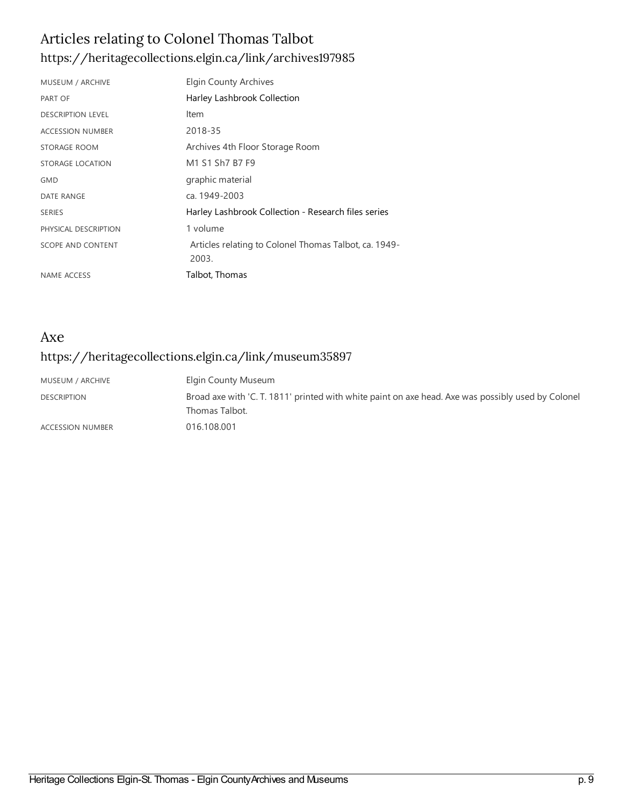### Articles relating to Colonel Thomas Talbot <https://heritagecollections.elgin.ca/link/archives197985>

| MUSEUM / ARCHIVE         | <b>Elgin County Archives</b>                                   |
|--------------------------|----------------------------------------------------------------|
| PART OF                  | Harley Lashbrook Collection                                    |
| <b>DESCRIPTION LEVEL</b> | Item                                                           |
| <b>ACCESSION NUMBER</b>  | 2018-35                                                        |
| STORAGE ROOM             | Archives 4th Floor Storage Room                                |
| <b>STORAGE LOCATION</b>  | M1 S1 Sh7 B7 F9                                                |
| <b>GMD</b>               | graphic material                                               |
| <b>DATE RANGE</b>        | ca. 1949-2003                                                  |
| <b>SERIES</b>            | Harley Lashbrook Collection - Research files series            |
| PHYSICAL DESCRIPTION     | 1 volume                                                       |
| <b>SCOPE AND CONTENT</b> | Articles relating to Colonel Thomas Talbot, ca. 1949-<br>2003. |
| NAME ACCESS              | Talbot, Thomas                                                 |

### Axe <https://heritagecollections.elgin.ca/link/museum35897>

| MUSEUM / ARCHIVE        | Elgin County Museum                                                                                |
|-------------------------|----------------------------------------------------------------------------------------------------|
| <b>DESCRIPTION</b>      | Broad axe with 'C. T. 1811' printed with white paint on axe head. Axe was possibly used by Colonel |
|                         | Thomas Talbot.                                                                                     |
| <b>ACCESSION NUMBER</b> | 016.108.001                                                                                        |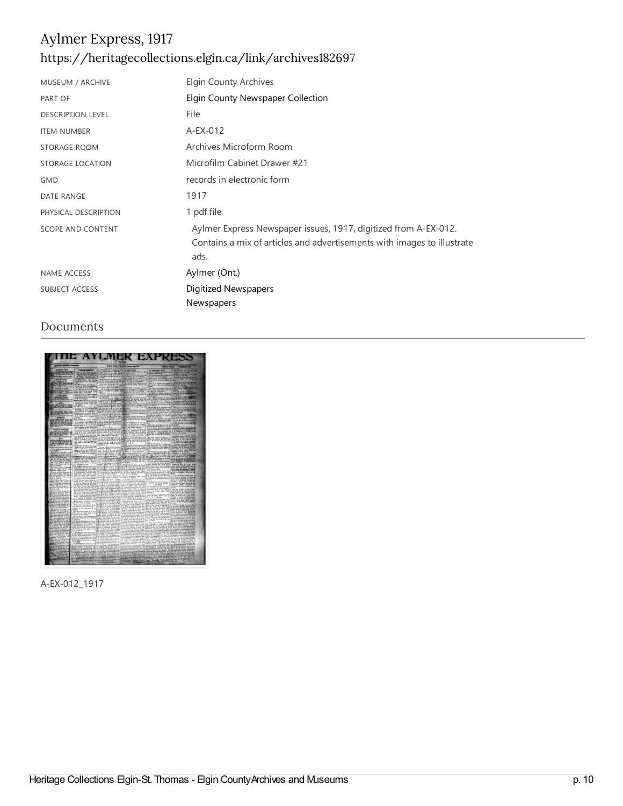### Aylmer Express, 1917 <https://heritagecollections.elgin.ca/link/archives182697>

| MUSEUM / ARCHIVE         | Elgin County Archives                                                                                                                              |
|--------------------------|----------------------------------------------------------------------------------------------------------------------------------------------------|
| PART OF                  | Elgin County Newspaper Collection                                                                                                                  |
| <b>DESCRIPTION LEVEL</b> | File                                                                                                                                               |
| <b>ITEM NUMBER</b>       | A-EX-012                                                                                                                                           |
| STORAGE ROOM             | Archives Microform Room                                                                                                                            |
| <b>STORAGE LOCATION</b>  | Microfilm Cabinet Drawer #21                                                                                                                       |
| <b>GMD</b>               | records in electronic form                                                                                                                         |
| DATE RANGE               | 1917                                                                                                                                               |
| PHYSICAL DESCRIPTION     | 1 pdf file                                                                                                                                         |
| <b>SCOPE AND CONTENT</b> | Aylmer Express Newspaper issues, 1917, digitized from A-EX-012.<br>Contains a mix of articles and advertisements with images to illustrate<br>ads. |
| <b>NAME ACCESS</b>       | Aylmer (Ont.)                                                                                                                                      |
| <b>SUBJECT ACCESS</b>    | Digitized Newspapers                                                                                                                               |
|                          | Newspapers                                                                                                                                         |

#### Documents



A-EX-012\_1917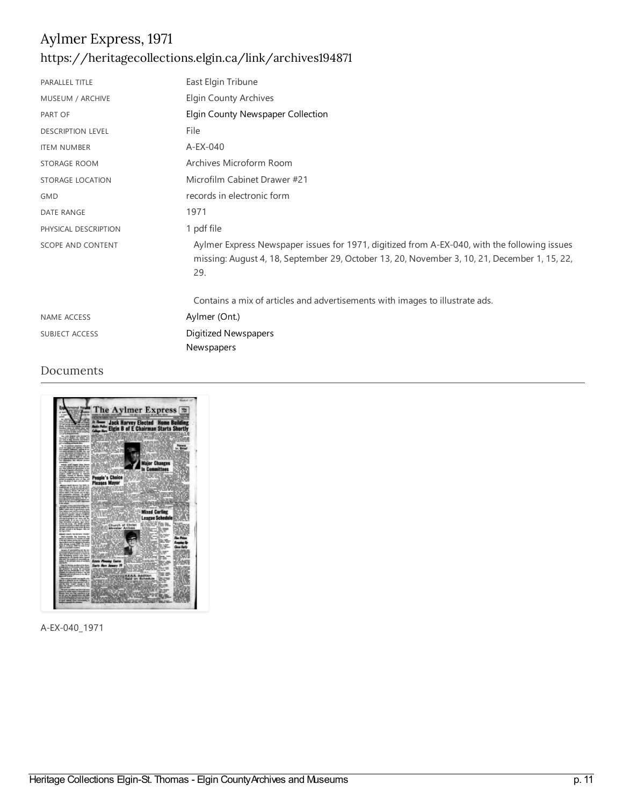### Aylmer Express, 1971 <https://heritagecollections.elgin.ca/link/archives194871>

| PARALLEL TITLE           | East Elgin Tribune                                                                                                                                                                                  |
|--------------------------|-----------------------------------------------------------------------------------------------------------------------------------------------------------------------------------------------------|
| MUSEUM / ARCHIVE         | <b>Elgin County Archives</b>                                                                                                                                                                        |
| PART OF                  | Elgin County Newspaper Collection                                                                                                                                                                   |
| <b>DESCRIPTION LEVEL</b> | File                                                                                                                                                                                                |
| <b>ITEM NUMBER</b>       | A-EX-040                                                                                                                                                                                            |
| <b>STORAGE ROOM</b>      | Archives Microform Room                                                                                                                                                                             |
| STORAGE LOCATION         | Microfilm Cabinet Drawer #21                                                                                                                                                                        |
| <b>GMD</b>               | records in electronic form                                                                                                                                                                          |
| <b>DATE RANGE</b>        | 1971                                                                                                                                                                                                |
| PHYSICAL DESCRIPTION     | 1 pdf file                                                                                                                                                                                          |
| <b>SCOPE AND CONTENT</b> | Aylmer Express Newspaper issues for 1971, digitized from A-EX-040, with the following issues<br>missing: August 4, 18, September 29, October 13, 20, November 3, 10, 21, December 1, 15, 22,<br>29. |
|                          | Contains a mix of articles and advertisements with images to illustrate ads.                                                                                                                        |
| <b>NAME ACCESS</b>       | Aylmer (Ont.)                                                                                                                                                                                       |
| SUBJECT ACCESS           | Digitized Newspapers                                                                                                                                                                                |
|                          | Newspapers                                                                                                                                                                                          |

#### Documents



A-EX-040\_1971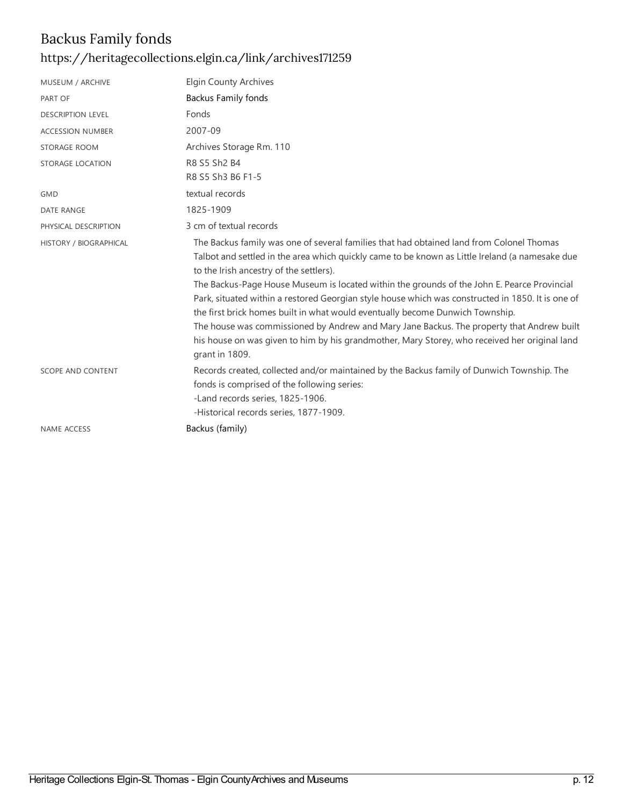## Backus Family fonds <https://heritagecollections.elgin.ca/link/archives171259>

| MUSEUM / ARCHIVE         | <b>Elgin County Archives</b>                                                                                                                                                                                                                                                                                                                                                                                                                                                                                                                                                                                                                                                                                                                |
|--------------------------|---------------------------------------------------------------------------------------------------------------------------------------------------------------------------------------------------------------------------------------------------------------------------------------------------------------------------------------------------------------------------------------------------------------------------------------------------------------------------------------------------------------------------------------------------------------------------------------------------------------------------------------------------------------------------------------------------------------------------------------------|
| PART OF                  | <b>Backus Family fonds</b>                                                                                                                                                                                                                                                                                                                                                                                                                                                                                                                                                                                                                                                                                                                  |
| <b>DESCRIPTION LEVEL</b> | Fonds                                                                                                                                                                                                                                                                                                                                                                                                                                                                                                                                                                                                                                                                                                                                       |
| <b>ACCESSION NUMBER</b>  | 2007-09                                                                                                                                                                                                                                                                                                                                                                                                                                                                                                                                                                                                                                                                                                                                     |
| <b>STORAGE ROOM</b>      | Archives Storage Rm. 110                                                                                                                                                                                                                                                                                                                                                                                                                                                                                                                                                                                                                                                                                                                    |
| STORAGE LOCATION         | R8 S5 Sh2 B4                                                                                                                                                                                                                                                                                                                                                                                                                                                                                                                                                                                                                                                                                                                                |
|                          | R8 S5 Sh3 B6 F1-5                                                                                                                                                                                                                                                                                                                                                                                                                                                                                                                                                                                                                                                                                                                           |
| <b>GMD</b>               | textual records                                                                                                                                                                                                                                                                                                                                                                                                                                                                                                                                                                                                                                                                                                                             |
| <b>DATE RANGE</b>        | 1825-1909                                                                                                                                                                                                                                                                                                                                                                                                                                                                                                                                                                                                                                                                                                                                   |
| PHYSICAL DESCRIPTION     | 3 cm of textual records                                                                                                                                                                                                                                                                                                                                                                                                                                                                                                                                                                                                                                                                                                                     |
| HISTORY / BIOGRAPHICAL   | The Backus family was one of several families that had obtained land from Colonel Thomas<br>Talbot and settled in the area which quickly came to be known as Little Ireland (a namesake due<br>to the Irish ancestry of the settlers).<br>The Backus-Page House Museum is located within the grounds of the John E. Pearce Provincial<br>Park, situated within a restored Georgian style house which was constructed in 1850. It is one of<br>the first brick homes built in what would eventually become Dunwich Township.<br>The house was commissioned by Andrew and Mary Jane Backus. The property that Andrew built<br>his house on was given to him by his grandmother, Mary Storey, who received her original land<br>grant in 1809. |
| <b>SCOPE AND CONTENT</b> | Records created, collected and/or maintained by the Backus family of Dunwich Township. The<br>fonds is comprised of the following series:<br>-Land records series, 1825-1906.<br>-Historical records series, 1877-1909.                                                                                                                                                                                                                                                                                                                                                                                                                                                                                                                     |
| <b>NAME ACCESS</b>       | Backus (family)                                                                                                                                                                                                                                                                                                                                                                                                                                                                                                                                                                                                                                                                                                                             |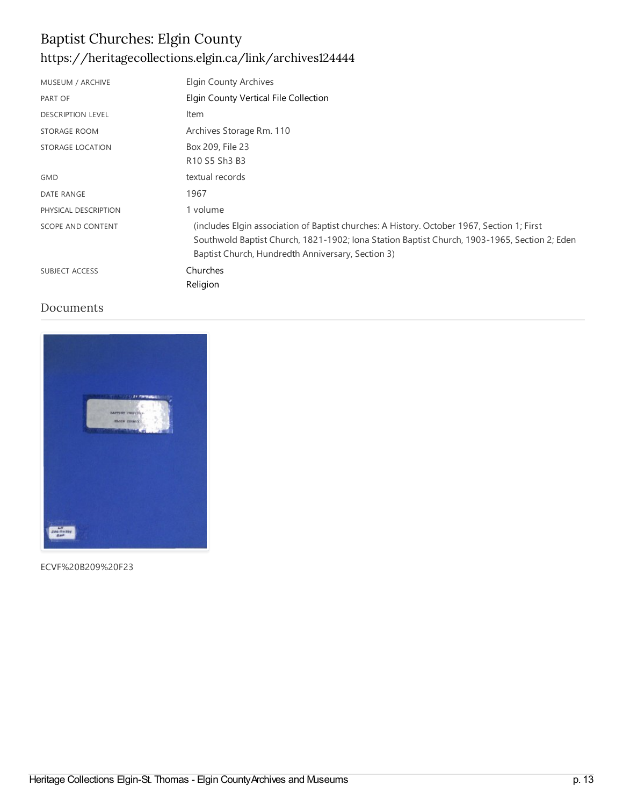### Baptist Churches: Elgin County <https://heritagecollections.elgin.ca/link/archives124444>

| MUSEUM / ARCHIVE         | <b>Elgin County Archives</b>                                                                                                                                                                                                                    |
|--------------------------|-------------------------------------------------------------------------------------------------------------------------------------------------------------------------------------------------------------------------------------------------|
| PART OF                  | Elgin County Vertical File Collection                                                                                                                                                                                                           |
| <b>DESCRIPTION LEVEL</b> | Item                                                                                                                                                                                                                                            |
| STORAGE ROOM             | Archives Storage Rm. 110                                                                                                                                                                                                                        |
| STORAGE LOCATION         | Box 209, File 23                                                                                                                                                                                                                                |
|                          | R10 S5 Sh3 B3                                                                                                                                                                                                                                   |
| <b>GMD</b>               | textual records                                                                                                                                                                                                                                 |
| <b>DATE RANGE</b>        | 1967                                                                                                                                                                                                                                            |
| PHYSICAL DESCRIPTION     | 1 volume                                                                                                                                                                                                                                        |
| <b>SCOPE AND CONTENT</b> | (includes Elgin association of Baptist churches: A History. October 1967, Section 1; First<br>Southwold Baptist Church, 1821-1902; Iona Station Baptist Church, 1903-1965, Section 2; Eden<br>Baptist Church, Hundredth Anniversary, Section 3) |
| <b>SUBJECT ACCESS</b>    | Churches<br>Religion                                                                                                                                                                                                                            |

#### Documents



ECVF%20B209%20F23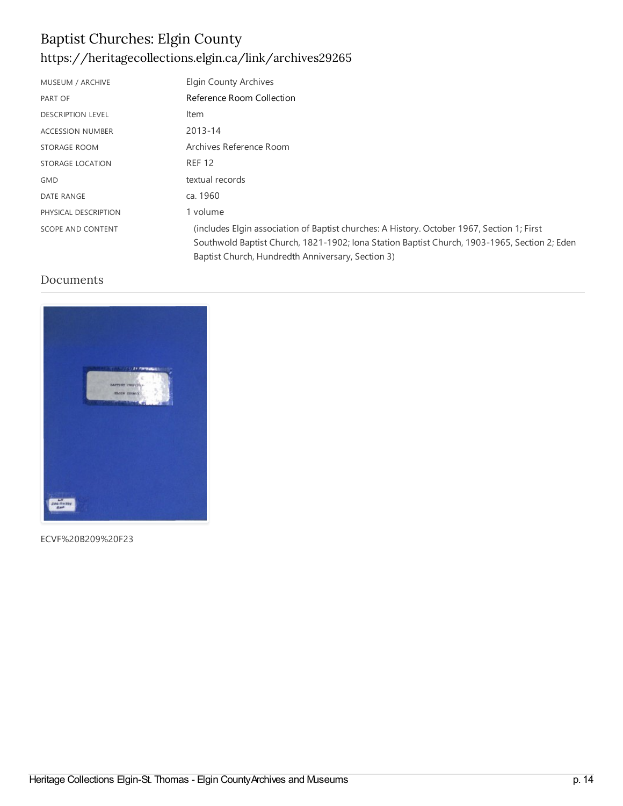### Baptist Churches: Elgin County <https://heritagecollections.elgin.ca/link/archives29265>

| MUSEUM / ARCHIVE         | <b>Elgin County Archives</b>                                                                                                                                                                                                                    |
|--------------------------|-------------------------------------------------------------------------------------------------------------------------------------------------------------------------------------------------------------------------------------------------|
| PART OF                  | Reference Room Collection                                                                                                                                                                                                                       |
| <b>DESCRIPTION LEVEL</b> | Item                                                                                                                                                                                                                                            |
| <b>ACCESSION NUMBER</b>  | 2013-14                                                                                                                                                                                                                                         |
| STORAGE ROOM             | Archives Reference Room                                                                                                                                                                                                                         |
| STORAGE LOCATION         | <b>REF 12</b>                                                                                                                                                                                                                                   |
| <b>GMD</b>               | textual records                                                                                                                                                                                                                                 |
| <b>DATE RANGE</b>        | ca. 1960                                                                                                                                                                                                                                        |
| PHYSICAL DESCRIPTION     | 1 volume                                                                                                                                                                                                                                        |
| <b>SCOPE AND CONTENT</b> | (includes Elgin association of Baptist churches: A History. October 1967, Section 1; First<br>Southwold Baptist Church, 1821-1902; Iona Station Baptist Church, 1903-1965, Section 2; Eden<br>Baptist Church, Hundredth Anniversary, Section 3) |

#### Documents



ECVF%20B209%20F23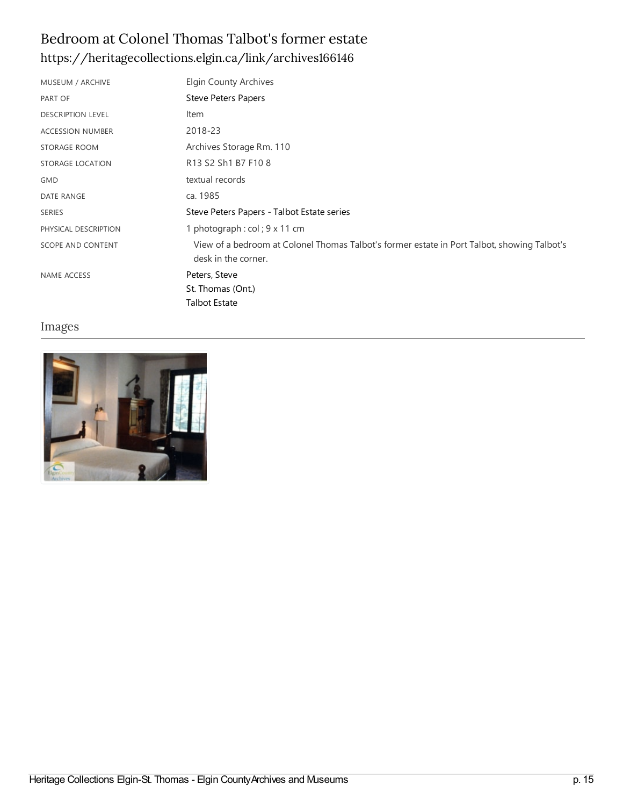#### Bedroom at Colonel Thomas Talbot's former estate <https://heritagecollections.elgin.ca/link/archives166146>

| MUSEUM / ARCHIVE         | <b>Elgin County Archives</b>                                                                                       |
|--------------------------|--------------------------------------------------------------------------------------------------------------------|
| PART OF                  | <b>Steve Peters Papers</b>                                                                                         |
| <b>DESCRIPTION LEVEL</b> | Item                                                                                                               |
| <b>ACCESSION NUMBER</b>  | 2018-23                                                                                                            |
| STORAGE ROOM             | Archives Storage Rm. 110                                                                                           |
| STORAGE LOCATION         | R13 S2 Sh1 B7 F10 8                                                                                                |
| GMD                      | textual records                                                                                                    |
| DATE RANGE               | ca. 1985                                                                                                           |
| <b>SERIES</b>            | Steve Peters Papers - Talbot Estate series                                                                         |
| PHYSICAL DESCRIPTION     | 1 photograph : col ; $9 \times 11$ cm                                                                              |
| SCOPE AND CONTENT        | View of a bedroom at Colonel Thomas Talbot's former estate in Port Talbot, showing Talbot's<br>desk in the corner. |
| NAME ACCESS              | Peters, Steve                                                                                                      |
|                          | St. Thomas (Ont.)                                                                                                  |
|                          | <b>Talbot Estate</b>                                                                                               |

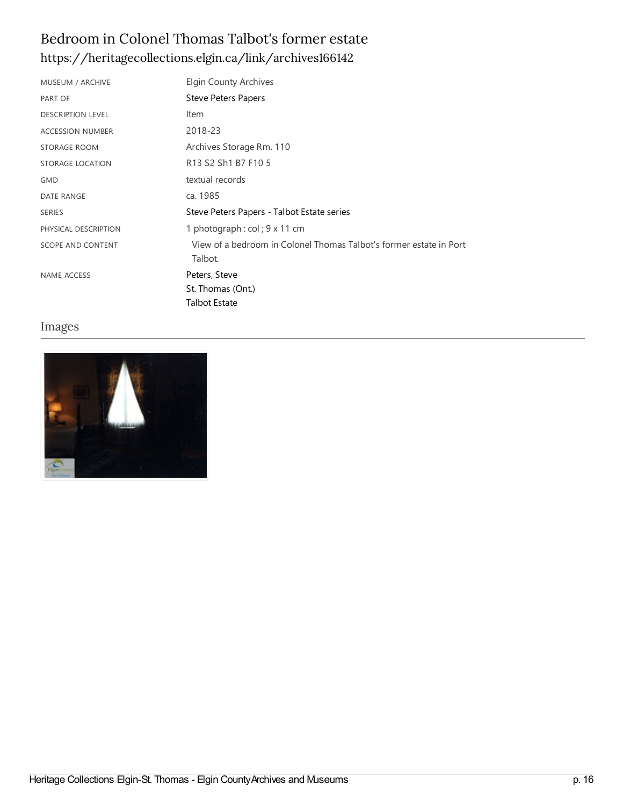### Bedroom in Colonel Thomas Talbot's former estate <https://heritagecollections.elgin.ca/link/archives166142>

| MUSEUM / ARCHIVE         | <b>Elgin County Archives</b>                                                  |
|--------------------------|-------------------------------------------------------------------------------|
| PART OF                  | Steve Peters Papers                                                           |
| <b>DESCRIPTION LEVEL</b> | Item                                                                          |
| <b>ACCESSION NUMBER</b>  | 2018-23                                                                       |
| STORAGE ROOM             | Archives Storage Rm. 110                                                      |
| STORAGE LOCATION         | R13 S2 Sh1 B7 F10 5                                                           |
| <b>GMD</b>               | textual records                                                               |
| <b>DATE RANGE</b>        | ca. 1985                                                                      |
| <b>SERIES</b>            | Steve Peters Papers - Talbot Estate series                                    |
| PHYSICAL DESCRIPTION     | 1 photograph : $col$ ; 9 x 11 cm                                              |
| SCOPE AND CONTENT        | View of a bedroom in Colonel Thomas Talbot's former estate in Port<br>Talbot. |
| NAME ACCESS              | Peters, Steve                                                                 |
|                          | St. Thomas (Ont.)                                                             |
|                          | <b>Talbot Estate</b>                                                          |

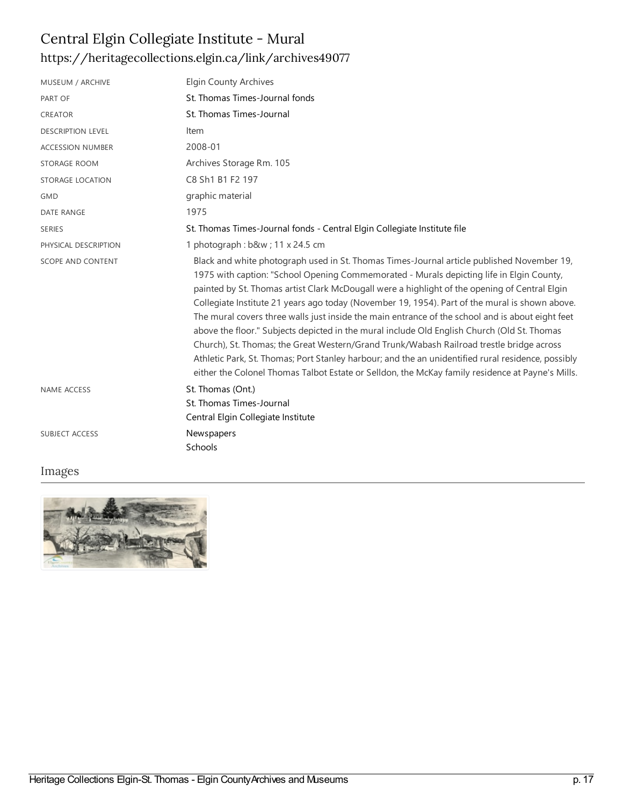## Central Elgin Collegiate Institute - Mural <https://heritagecollections.elgin.ca/link/archives49077>

| MUSEUM / ARCHIVE         | <b>Elgin County Archives</b>                                                                                                                                                                                                                                                                                                                                                                                                                                                                                                                                                                                                                                                                                                                                                                                                                                                                       |
|--------------------------|----------------------------------------------------------------------------------------------------------------------------------------------------------------------------------------------------------------------------------------------------------------------------------------------------------------------------------------------------------------------------------------------------------------------------------------------------------------------------------------------------------------------------------------------------------------------------------------------------------------------------------------------------------------------------------------------------------------------------------------------------------------------------------------------------------------------------------------------------------------------------------------------------|
| PART OF                  | St. Thomas Times-Journal fonds                                                                                                                                                                                                                                                                                                                                                                                                                                                                                                                                                                                                                                                                                                                                                                                                                                                                     |
| <b>CREATOR</b>           | St. Thomas Times-Journal                                                                                                                                                                                                                                                                                                                                                                                                                                                                                                                                                                                                                                                                                                                                                                                                                                                                           |
| <b>DESCRIPTION LEVEL</b> | Item                                                                                                                                                                                                                                                                                                                                                                                                                                                                                                                                                                                                                                                                                                                                                                                                                                                                                               |
| <b>ACCESSION NUMBER</b>  | 2008-01                                                                                                                                                                                                                                                                                                                                                                                                                                                                                                                                                                                                                                                                                                                                                                                                                                                                                            |
| STORAGE ROOM             | Archives Storage Rm. 105                                                                                                                                                                                                                                                                                                                                                                                                                                                                                                                                                                                                                                                                                                                                                                                                                                                                           |
| STORAGE LOCATION         | C8 Sh1 B1 F2 197                                                                                                                                                                                                                                                                                                                                                                                                                                                                                                                                                                                                                                                                                                                                                                                                                                                                                   |
| <b>GMD</b>               | graphic material                                                                                                                                                                                                                                                                                                                                                                                                                                                                                                                                                                                                                                                                                                                                                                                                                                                                                   |
| <b>DATE RANGE</b>        | 1975                                                                                                                                                                                                                                                                                                                                                                                                                                                                                                                                                                                                                                                                                                                                                                                                                                                                                               |
| <b>SERIES</b>            | St. Thomas Times-Journal fonds - Central Elgin Collegiate Institute file                                                                                                                                                                                                                                                                                                                                                                                                                                                                                                                                                                                                                                                                                                                                                                                                                           |
| PHYSICAL DESCRIPTION     | 1 photograph: b&w 11 x 24.5 cm                                                                                                                                                                                                                                                                                                                                                                                                                                                                                                                                                                                                                                                                                                                                                                                                                                                                     |
| SCOPE AND CONTENT        | Black and white photograph used in St. Thomas Times-Journal article published November 19,<br>1975 with caption: "School Opening Commemorated - Murals depicting life in Elgin County,<br>painted by St. Thomas artist Clark McDougall were a highlight of the opening of Central Elgin<br>Collegiate Institute 21 years ago today (November 19, 1954). Part of the mural is shown above.<br>The mural covers three walls just inside the main entrance of the school and is about eight feet<br>above the floor." Subjects depicted in the mural include Old English Church (Old St. Thomas<br>Church), St. Thomas; the Great Western/Grand Trunk/Wabash Railroad trestle bridge across<br>Athletic Park, St. Thomas; Port Stanley harbour; and the an unidentified rural residence, possibly<br>either the Colonel Thomas Talbot Estate or Selldon, the McKay family residence at Payne's Mills. |
| <b>NAME ACCESS</b>       | St. Thomas (Ont.)<br>St. Thomas Times-Journal<br>Central Elgin Collegiate Institute                                                                                                                                                                                                                                                                                                                                                                                                                                                                                                                                                                                                                                                                                                                                                                                                                |
| <b>SUBJECT ACCESS</b>    | Newspapers<br>Schools                                                                                                                                                                                                                                                                                                                                                                                                                                                                                                                                                                                                                                                                                                                                                                                                                                                                              |